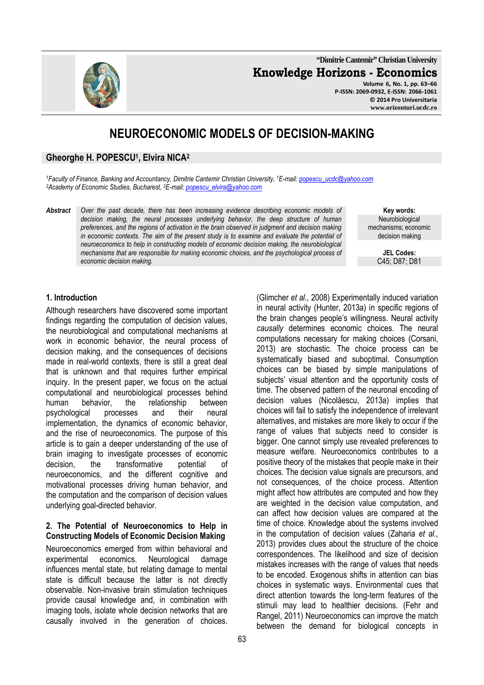**"Dimitrie Cantemir" Christian University Knowledge Horizons - Economics Volume 6, No. 1, pp. 63–66** 

**P-ISSN: 2069-0932, E-ISSN: 2066-1061 © 2014 Pro Universitaria www.orizonturi.ucdc.ro**

# **NEUROECONOMIC MODELS OF DECISION-MAKING**

#### **Gheorghe H. POPESCU<sup>1</sup> , Elvira NICA<sup>2</sup>**

*<sup>1</sup>Faculty of Finance, Banking and Accountancy, Dimitrie Cantemir Christian University, <sup>1</sup>E-mail: popescu\_ucdc@yahoo.com <sup>2</sup>Academy of Economic Studies, Bucharest, <sup>2</sup>E-mail: popescu\_elvira@yahoo.com*

*Abstract Over the past decade, there has been increasing evidence describing economic models of decision making, the neural processes underlying behavior, the deep structure of human preferences, and the regions of activation in the brain observed in judgment and decision making in economic contexts. The aim of the present study is to examine and evaluate the potential of neuroeconomics to help in constructing models of economic decision making, the neurobiological mechanisms that are responsible for making economic choices, and the psychological process of economic decision making.* 

**Key words: Neurobiological** mechanisms; economic decision making

> **JEL Codes:** C45; D87; D81

#### **1. Introduction**

Although researchers have discovered some important findings regarding the computation of decision values, the neurobiological and computational mechanisms at work in economic behavior, the neural process of decision making, and the consequences of decisions made in real-world contexts, there is still a great deal that is unknown and that requires further empirical inquiry. In the present paper, we focus on the actual computational and neurobiological processes behind human behavior, the relationship between psychological processes and their neural implementation, the dynamics of economic behavior, and the rise of neuroeconomics. The purpose of this article is to gain a deeper understanding of the use of brain imaging to investigate processes of economic decision, the transformative potential of neuroeconomics, and the different cognitive and motivational processes driving human behavior, and the computation and the comparison of decision values underlying goal-directed behavior.

#### **2. The Potential of Neuroeconomics to Help in Constructing Models of Economic Decision Making**

Neuroeconomics emerged from within behavioral and experimental economics. Neurological damage influences mental state, but relating damage to mental state is difficult because the latter is not directly observable. Non-invasive brain stimulation techniques provide causal knowledge and, in combination with imaging tools, isolate whole decision networks that are causally involved in the generation of choices.

(Glimcher *et al.,* 2008) Experimentally induced variation in neural activity (Hunter, 2013a) in specific regions of the brain changes people's willingness. Neural activity *causally* determines economic choices. The neural computations necessary for making choices (Corsani, 2013) are stochastic. The choice process can be systematically biased and suboptimal. Consumption choices can be biased by simple manipulations of subjects' visual attention and the opportunity costs of time. The observed pattern of the neuronal encoding of decision values (Nicolăescu, 2013a) implies that choices will fail to satisfy the independence of irrelevant alternatives, and mistakes are more likely to occur if the range of values that subjects need to consider is bigger. One cannot simply use revealed preferences to measure welfare. Neuroeconomics contributes to a positive theory of the mistakes that people make in their choices. The decision value signals are precursors, and not consequences, of the choice process. Attention might affect how attributes are computed and how they are weighted in the decision value computation, and can affect how decision values are compared at the time of choice. Knowledge about the systems involved in the computation of decision values (Zaharia *et al.,* 2013) provides clues about the structure of the choice correspondences. The likelihood and size of decision mistakes increases with the range of values that needs to be encoded. Exogenous shifts in attention can bias choices in systematic ways. Environmental cues that direct attention towards the long-term features of the stimuli may lead to healthier decisions. (Fehr and Rangel, 2011) Neuroeconomics can improve the match between the demand for biological concepts in

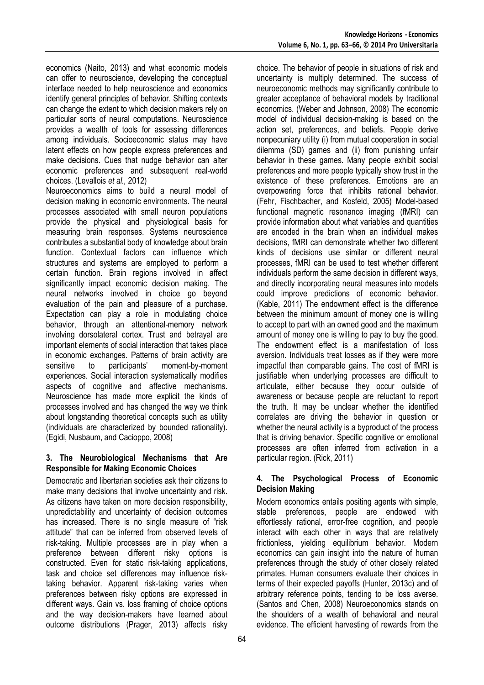economics (Naito, 2013) and what economic models can offer to neuroscience, developing the conceptual interface needed to help neuroscience and economics identify general principles of behavior. Shifting contexts can change the extent to which decision makers rely on particular sorts of neural computations. Neuroscience provides a wealth of tools for assessing differences among individuals. Socioeconomic status may have latent effects on how people express preferences and make decisions. Cues that nudge behavior can alter economic preferences and subsequent real-world choices. (Levallois *et al.,* 2012)

Neuroeconomics aims to build a neural model of decision making in economic environments. The neural processes associated with small neuron populations provide the physical and physiological basis for measuring brain responses. Systems neuroscience contributes a substantial body of knowledge about brain function. Contextual factors can influence which structures and systems are employed to perform a certain function. Brain regions involved in affect significantly impact economic decision making. The neural networks involved in choice go beyond evaluation of the pain and pleasure of a purchase. Expectation can play a role in modulating choice behavior, through an attentional-memory network involving dorsolateral cortex. Trust and betrayal are important elements of social interaction that takes place in economic exchanges. Patterns of brain activity are sensitive to participants' moment-by-moment experiences. Social interaction systematically modifies aspects of cognitive and affective mechanisms. Neuroscience has made more explicit the kinds of processes involved and has changed the way we think about longstanding theoretical concepts such as utility (individuals are characterized by bounded rationality). (Egidi, Nusbaum, and Cacioppo, 2008)

## **3. The Neurobiological Mechanisms that Are Responsible for Making Economic Choices**

Democratic and libertarian societies ask their citizens to make many decisions that involve uncertainty and risk. As citizens have taken on more decision responsibility, unpredictability and uncertainty of decision outcomes has increased. There is no single measure of "risk attitude" that can be inferred from observed levels of risk-taking. Multiple processes are in play when a preference between different risky options is constructed. Even for static risk-taking applications, task and choice set differences may influence risktaking behavior. Apparent risk-taking varies when preferences between risky options are expressed in different ways. Gain vs. loss framing of choice options and the way decision-makers have learned about outcome distributions (Prager, 2013) affects risky

choice. The behavior of people in situations of risk and uncertainty is multiply determined. The success of neuroeconomic methods may significantly contribute to greater acceptance of behavioral models by traditional economics. (Weber and Johnson, 2008) The economic model of individual decision-making is based on the action set, preferences, and beliefs. People derive nonpecuniary utility (i) from mutual cooperation in social dilemma (SD) games and (ii) from punishing unfair behavior in these games. Many people exhibit social preferences and more people typically show trust in the existence of these preferences. Emotions are an overpowering force that inhibits rational behavior. (Fehr, Fischbacher, and Kosfeld, 2005) Model-based functional magnetic resonance imaging (fMRI) can provide information about what variables and quantities are encoded in the brain when an individual makes decisions, fMRI can demonstrate whether two different kinds of decisions use similar or different neural processes, fMRI can be used to test whether different individuals perform the same decision in different ways, and directly incorporating neural measures into models could improve predictions of economic behavior. (Kable, 2011) The endowment effect is the difference between the minimum amount of money one is willing to accept to part with an owned good and the maximum amount of money one is willing to pay to buy the good. The endowment effect is a manifestation of loss aversion. Individuals treat losses as if they were more impactful than comparable gains. The cost of fMRI is justifiable when underlying processes are difficult to articulate, either because they occur outside of awareness or because people are reluctant to report the truth. It may be unclear whether the identified correlates are driving the behavior in question or whether the neural activity is a byproduct of the process that is driving behavior. Specific cognitive or emotional processes are often inferred from activation in a particular region. (Rick, 2011)

## **4. The Psychological Process of Economic Decision Making**

Modern economics entails positing agents with simple, stable preferences, people are endowed with effortlessly rational, error-free cognition, and people interact with each other in ways that are relatively frictionless, yielding equilibrium behavior. Modern economics can gain insight into the nature of human preferences through the study of other closely related primates. Human consumers evaluate their choices in terms of their expected payoffs (Hunter, 2013c) and of arbitrary reference points, tending to be loss averse. (Santos and Chen, 2008) Neuroeconomics stands on the shoulders of a wealth of behavioral and neural evidence. The efficient harvesting of rewards from the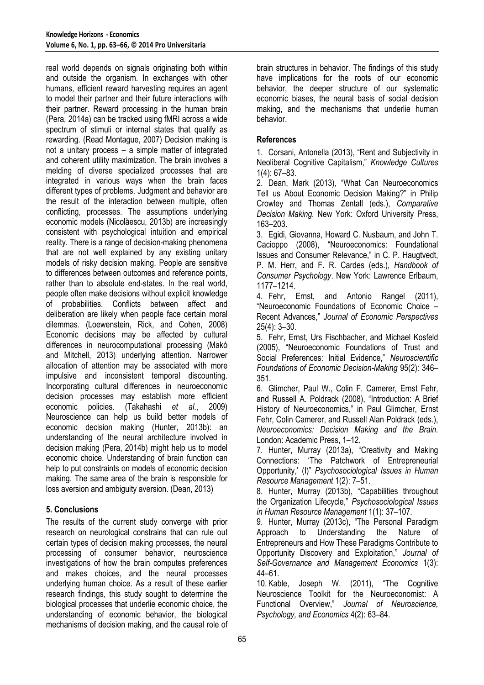real world depends on signals originating both within and outside the organism. In exchanges with other humans, efficient reward harvesting requires an agent to model their partner and their future interactions with their partner. Reward processing in the human brain (Pera, 2014a) can be tracked using fMRI across a wide spectrum of stimuli or internal states that qualify as rewarding. (Read Montague, 2007) Decision making is not a unitary process – a simple matter of integrated and coherent utility maximization. The brain involves a melding of diverse specialized processes that are integrated in various ways when the brain faces different types of problems. Judgment and behavior are the result of the interaction between multiple, often conflicting, processes. The assumptions underlying economic models (Nicolăescu, 2013b) are increasingly consistent with psychological intuition and empirical reality. There is a range of decision-making phenomena that are not well explained by any existing unitary models of risky decision making. People are sensitive to differences between outcomes and reference points, rather than to absolute end-states. In the real world, people often make decisions without explicit knowledge of probabilities. Conflicts between affect and deliberation are likely when people face certain moral dilemmas. (Loewenstein, Rick, and Cohen, 2008) Economic decisions may be affected by cultural differences in neurocomputational processing (Makó and Mitchell, 2013) underlying attention. Narrower allocation of attention may be associated with more impulsive and inconsistent temporal discounting. Incorporating cultural differences in neuroeconomic decision processes may establish more efficient economic policies. (Takahashi *et al*., 2009) Neuroscience can help us build better models of economic decision making (Hunter, 2013b): an understanding of the neural architecture involved in decision making (Pera, 2014b) might help us to model economic choice. Understanding of brain function can help to put constraints on models of economic decision making. The same area of the brain is responsible for loss aversion and ambiguity aversion. (Dean, 2013)

## **5. Conclusions**

The results of the current study converge with prior research on neurological constrains that can rule out certain types of decision making processes, the neural processing of consumer behavior, neuroscience investigations of how the brain computes preferences and makes choices, and the neural processes underlying human choice. As a result of these earlier research findings, this study sought to determine the biological processes that underlie economic choice, the understanding of economic behavior, the biological mechanisms of decision making, and the causal role of

brain structures in behavior. The findings of this study have implications for the roots of our economic behavior, the deeper structure of our systematic economic biases, the neural basis of social decision making, and the mechanisms that underlie human behavior.

#### **References**

1. Corsani, Antonella (2013), "Rent and Subjectivity in Neoliberal Cognitive Capitalism," *Knowledge Cultures* 1(4): 67–83.

2. Dean, Mark (2013), "What Can Neuroeconomics Tell us About Economic Decision Making?" in Philip Crowley and Thomas Zentall (eds.), *Comparative Decision Making.* New York: Oxford University Press, 163–203.

3. Egidi, Giovanna, Howard C. Nusbaum, and John T. Cacioppo (2008), "Neuroeconomics: Foundational Issues and Consumer Relevance," in C. P. Haugtvedt, P. M. Herr, and F. R. Cardes (eds.), *Handbook of Consumer Psychology*. New York: Lawrence Erlbaum, 1177–1214.

4. Fehr, Ernst, and Antonio Rangel (2011), "Neuroeconomic Foundations of Economic Choice – Recent Advances," *Journal of Economic Perspectives* 25(4): 3–30.

5. Fehr, Ernst, Urs Fischbacher, and Michael Kosfeld (2005), "Neuroeconomic Foundations of Trust and Social Preferences: Initial Evidence," *Neuroscientific Foundations of Economic Decision-Making* 95(2): 346– 351.

6. Glimcher, Paul W., Colin F. Camerer, Ernst Fehr, and Russell A. Poldrack (2008), "Introduction: A Brief History of Neuroeconomics," in Paul Glimcher, Ernst Fehr, Colin Camerer, and Russell Alan Poldrack (eds.), *Neuroeconomics: Decision Making and the Brain*. London: Academic Press, 1–12.

7. Hunter, Murray (2013a), "Creativity and Making Connections: 'The Patchwork of Entrepreneurial Opportunity,' (I)" *Psychosociological Issues in Human Resource Management* 1(2): 7–51.

8. Hunter, Murray (2013b), "Capabilities throughout the Organization Lifecycle," *Psychosociological Issues in Human Resource Management* 1(1): 37–107.

9. Hunter, Murray (2013c), "The Personal Paradigm Approach to Understanding the Nature of Entrepreneurs and How These Paradigms Contribute to Opportunity Discovery and Exploitation," *Journal of Self-Governance and Management Economics* 1(3): 44–61.

10. Kable, Joseph W. (2011), "The Cognitive Neuroscience Toolkit for the Neuroeconomist: A Functional Overview," *Journal of Neuroscience, Psychology, and Economics* 4(2): 63–84.